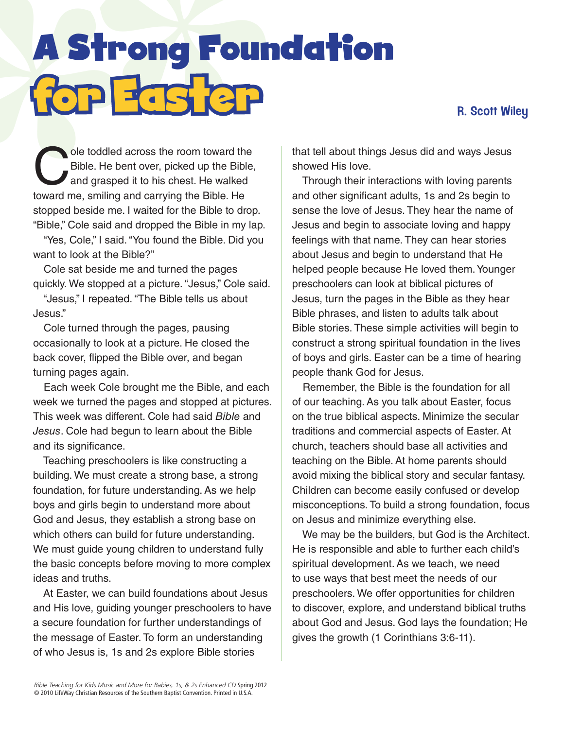## R. Scott Wiley

**A Strong Found<br>Copyright on Found**<br>C<sup>ole toddled across the room toward the<br>C<sup>Bible. He bent over, picked up the Bible,</sup></sup> A Strong Foundation for Easter

ole toddled across the room toward the<br>Bible. He bent over, picked up the Bible,<br>and grasped it to his chest. He walked Bible. He bent over, picked up the Bible, and grasped it to his chest. He walked toward me, smiling and carrying the Bible. He stopped beside me. I waited for the Bible to drop. "Bible," Cole said and dropped the Bible in my lap.

"Yes, Cole," I said. "You found the Bible. Did you want to look at the Bible?"

Cole sat beside me and turned the pages quickly. We stopped at a picture. "Jesus," Cole said.

"Jesus," I repeated. "The Bible tells us about Jesus."

Cole turned through the pages, pausing occasionally to look at a picture. He closed the back cover, flipped the Bible over, and began turning pages again.

Each week Cole brought me the Bible, and each week we turned the pages and stopped at pictures. This week was different. Cole had said *Bible* and *Jesus*. Cole had begun to learn about the Bible and its significance.

Teaching preschoolers is like constructing a building. We must create a strong base, a strong foundation, for future understanding. As we help boys and girls begin to understand more about God and Jesus, they establish a strong base on which others can build for future understanding. We must guide young children to understand fully the basic concepts before moving to more complex ideas and truths.

At Easter, we can build foundations about Jesus and His love, guiding younger preschoolers to have a secure foundation for further understandings of the message of Easter. To form an understanding of who Jesus is, 1s and 2s explore Bible stories

that tell about things Jesus did and ways Jesus showed His love.

Through their interactions with loving parents and other significant adults, 1s and 2s begin to sense the love of Jesus. They hear the name of Jesus and begin to associate loving and happy feelings with that name. They can hear stories about Jesus and begin to understand that He helped people because He loved them. Younger preschoolers can look at biblical pictures of Jesus, turn the pages in the Bible as they hear Bible phrases, and listen to adults talk about Bible stories. These simple activities will begin to construct a strong spiritual foundation in the lives of boys and girls. Easter can be a time of hearing people thank God for Jesus.

Remember, the Bible is the foundation for all of our teaching. As you talk about Easter, focus on the true biblical aspects. Minimize the secular traditions and commercial aspects of Easter. At church, teachers should base all activities and teaching on the Bible. At home parents should avoid mixing the biblical story and secular fantasy. Children can become easily confused or develop misconceptions. To build a strong foundation, focus on Jesus and minimize everything else.

We may be the builders, but God is the Architect. He is responsible and able to further each child's spiritual development. As we teach, we need to use ways that best meet the needs of our preschoolers. We offer opportunities for children to discover, explore, and understand biblical truths about God and Jesus. God lays the foundation; He gives the growth (1 Corinthians 3:6-11).